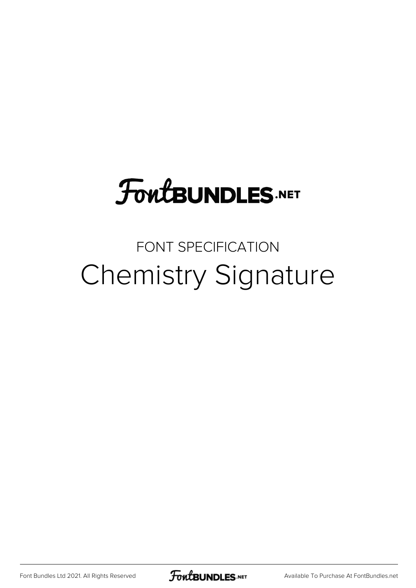## **FoutBUNDLES.NET**

## FONT SPECIFICATION Chemistry Signature

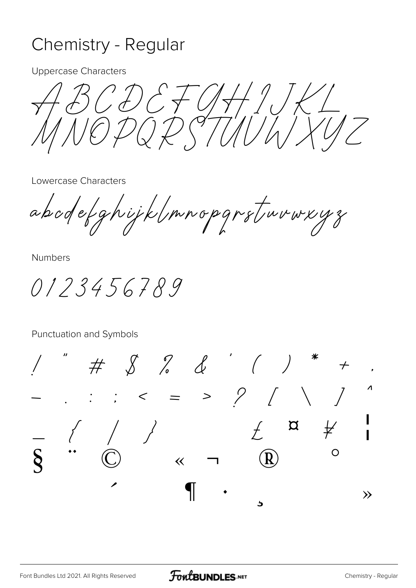## Chemistry - Regular

**Uppercase Characters** 

 $CDEFG$  $\frac{1}{2}$  $Q \overleftrightarrow{P} \overleftrightarrow{Q} \overleftrightarrow{7771}$ 

Lowercase Characters

abodefghijklmnopgrstruvwxyz

**Numbers** 

0123456789

Punctuation and Symbols

 $8 88$  $\frac{1}{2}$   $\frac{1}{2}$  $=$  >  $\frac{1}{2}$  $\alpha$  $\overline{O}$  $\overline{\mathbf{R}}$  $\overline{\langle}$  $\gg$ 5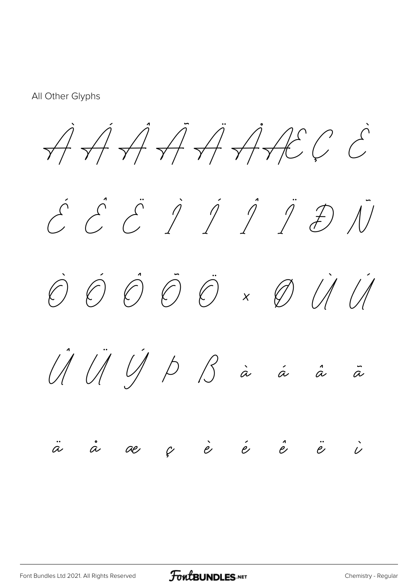All Other Glyphs

 $\overrightarrow{A} \overrightarrow{A} \overrightarrow{A} \overrightarrow{A} \overrightarrow{A} \overrightarrow{B} C \overrightarrow{C}$ 

É Ê Ë Ì Í Î Ï Ð Ñ

Ò Ó Ô Õ Ö × Ø Ù Ú

Û Ü Ý Þ ß à á â ã

## $\dot{a}$  ae ç è é è ë  $\dot{e}$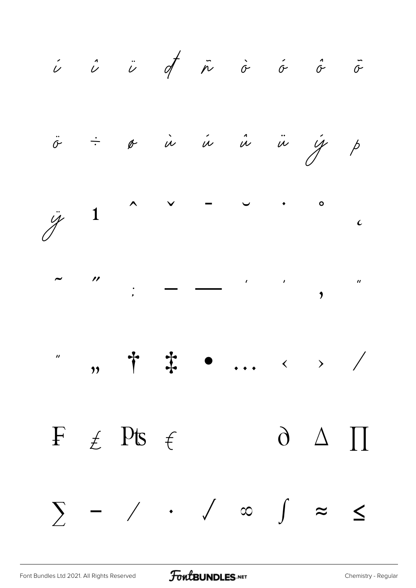